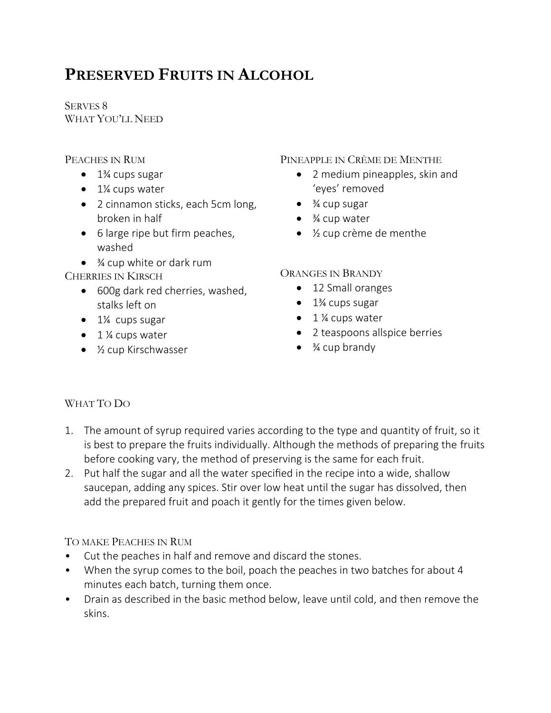# **PRESERVED FRUITS IN ALCOHOL**

SERVES 8 WHAT YOU'LL NEED

## PEACHES IN RUM

- $\bullet$  1<sup>3</sup>⁄<sub>4</sub> cups sugar
- 1¼ cups water
- 2 cinnamon sticks, each 5cm long, broken in half
- 6 large ripe but firm peaches, washed
- $\bullet$   $\frac{3}{4}$  cup white or dark rum

CHERRIES IN KIRSCH

- 600g dark red cherries, washed, stalks left on
- $\bullet$  1¼ cups sugar
- $\bullet$  1 % cups water
- 1/<sub>2</sub> cup Kirschwasser

#### PINEAPPLE IN CRÈME DE MENTHE

- 2 medium pineapples, skin and 'eyes' removed
- $\bullet$   $\frac{3}{4}$  cup sugar
- $\bullet$   $\frac{3}{4}$  cup water
- ½ cup crème de menthe

## ORANGES IN BRANDY

- 12 Small oranges
- $\bullet$  1<sup>3</sup>/<sub>4</sub> cups sugar
- $\bullet$  1 ¼ cups water
- 2 teaspoons allspice berries
- $\bullet$   $\frac{3}{4}$  cup brandy

# WHAT TO DO

- 1. The amount of syrup required varies according to the type and quantity of fruit, so it is best to prepare the fruits individually. Although the methods of preparing the fruits before cooking vary, the method of preserving is the same for each fruit.
- 2. Put half the sugar and all the water specified in the recipe into a wide, shallow saucepan, adding any spices. Stir over low heat until the sugar has dissolved, then add the prepared fruit and poach it gently for the times given below.

## TO MAKE PEACHES IN RUM

- Cut the peaches in half and remove and discard the stones.
- When the syrup comes to the boil, poach the peaches in two batches for about 4 minutes each batch, turning them once.
- Drain as described in the basic method below, leave until cold, and then remove the skins.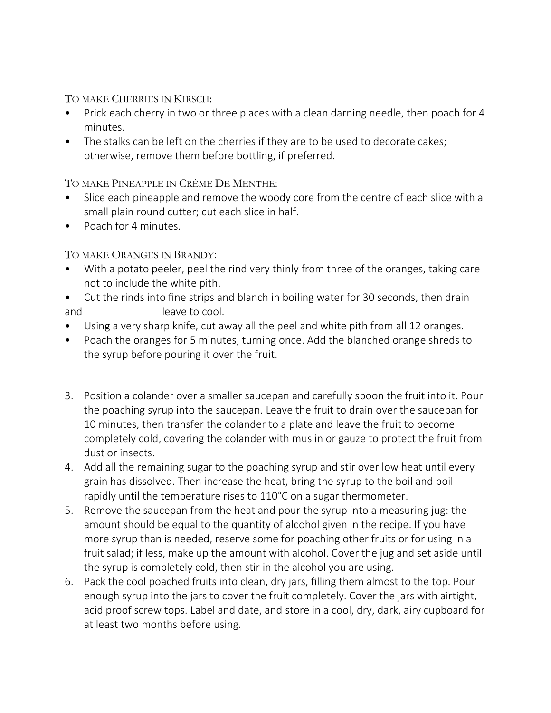TO MAKE CHERRIES IN KIRSCH:

- Prick each cherry in two or three places with a clean darning needle, then poach for 4 minutes.
- The stalks can be left on the cherries if they are to be used to decorate cakes; otherwise, remove them before bottling, if preferred.

TO MAKE PINEAPPLE IN CRÈME DE MENTHE:

- Slice each pineapple and remove the woody core from the centre of each slice with a small plain round cutter; cut each slice in half.
- Poach for 4 minutes.

TO MAKE ORANGES IN BRANDY:

- With a potato peeler, peel the rind very thinly from three of the oranges, taking care not to include the white pith.
- Cut the rinds into fine strips and blanch in boiling water for 30 seconds, then drain and leave to cool.
- Using a very sharp knife, cut away all the peel and white pith from all 12 oranges.
- Poach the oranges for 5 minutes, turning once. Add the blanched orange shreds to the syrup before pouring it over the fruit.
- 3. Position a colander over a smaller saucepan and carefully spoon the fruit into it. Pour the poaching syrup into the saucepan. Leave the fruit to drain over the saucepan for 10 minutes, then transfer the colander to a plate and leave the fruit to become completely cold, covering the colander with muslin or gauze to protect the fruit from dust or insects.
- 4. Add all the remaining sugar to the poaching syrup and stir over low heat until every grain has dissolved. Then increase the heat, bring the syrup to the boil and boil rapidly until the temperature rises to 110°C on a sugar thermometer.
- 5. Remove the saucepan from the heat and pour the syrup into a measuring jug: the amount should be equal to the quantity of alcohol given in the recipe. If you have more syrup than is needed, reserve some for poaching other fruits or for using in a fruit salad; if less, make up the amount with alcohol. Cover the jug and set aside until the syrup is completely cold, then stir in the alcohol you are using.
- 6. Pack the cool poached fruits into clean, dry jars, filling them almost to the top. Pour enough syrup into the jars to cover the fruit completely. Cover the jars with airtight, acid proof screw tops. Label and date, and store in a cool, dry, dark, airy cupboard for at least two months before using.